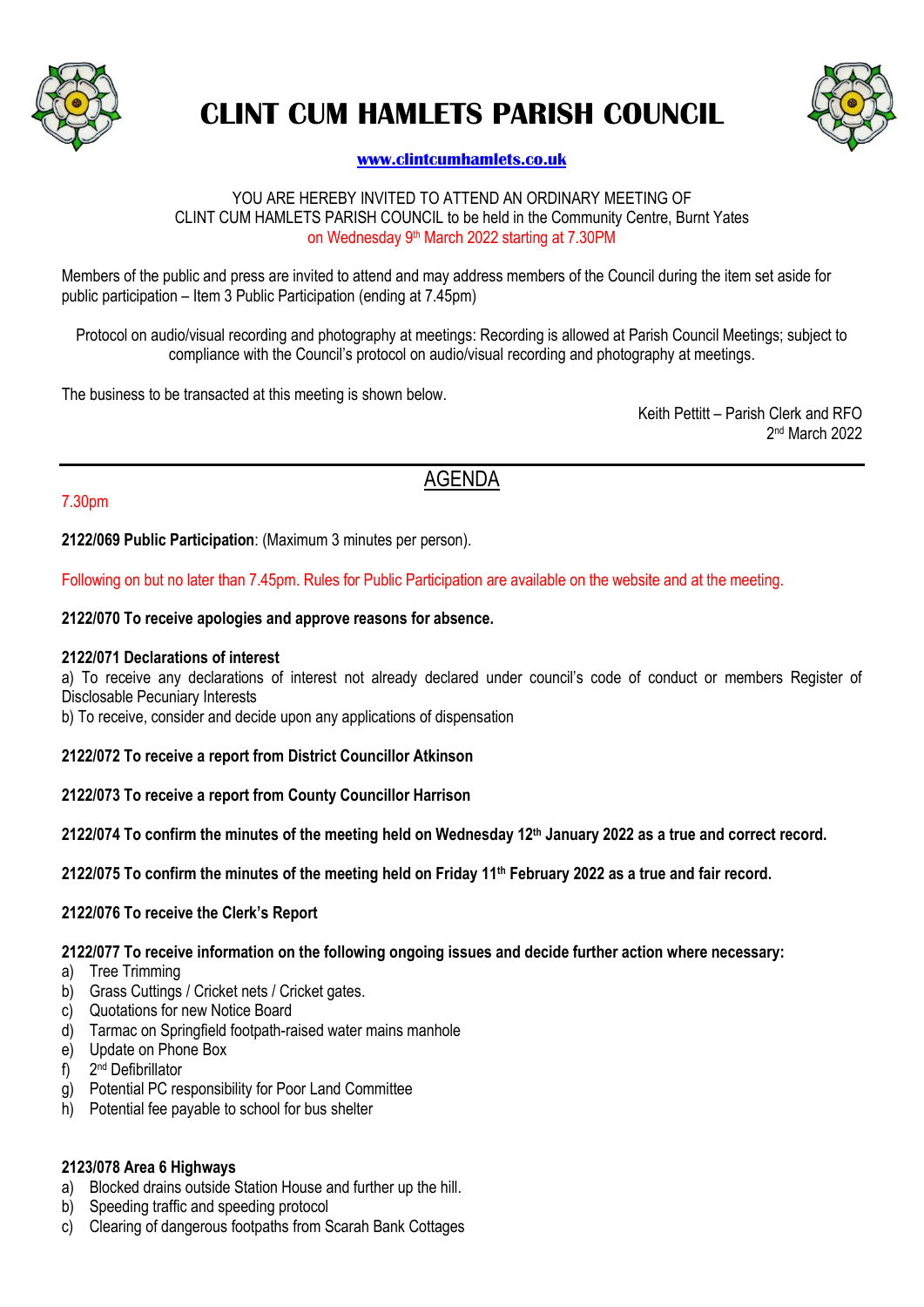

# **CLINT CUM HAMLETS PARISH COUNCIL**



# **[www.clintcumhamlets.co.uk](http://www.clintcumhamlets.co.uk/)**

#### YOU ARE HEREBY INVITED TO ATTEND AN ORDINARY MEETING OF CLINT CUM HAMLETS PARISH COUNCIL to be held in the Community Centre, Burnt Yates on Wednesday 9<sup>th</sup> March 2022 starting at 7.30PM

Members of the public and press are invited to attend and may address members of the Council during the item set aside for public participation – Item 3 Public Participation (ending at 7.45pm)

Protocol on audio/visual recording and photography at meetings: Recording is allowed at Parish Council Meetings; subject to compliance with the Council's protocol on audio/visual recording and photography at meetings.

The business to be transacted at this meeting is shown below.

Keith Pettitt – Parish Clerk and RFO 2 nd March 2022

# AGENDA

# 7.30pm

**2122/069 Public Participation**: (Maximum 3 minutes per person).

Following on but no later than 7.45pm. Rules for Public Participation are available on the website and at the meeting.

#### **2122/070 To receive apologies and approve reasons for absence.**

#### **2122/071 Declarations of interest**

a) To receive any declarations of interest not already declared under council's code of conduct or members Register of Disclosable Pecuniary Interests

b) To receive, consider and decide upon any applications of dispensation

#### **2122/072 To receive a report from District Councillor Atkinson**

**2122/073 To receive a report from County Councillor Harrison**

**2122/074 To confirm the minutes of the meeting held on Wednesday 12 th January 2022 as a true and correct record.**

**2122/075 To confirm the minutes of the meeting held on Friday 11th February 2022 as a true and fair record.**

#### **2122/076 To receive the Clerk's Report**

**2122/077 To receive information on the following ongoing issues and decide further action where necessary:**

- a) Tree Trimming
- b) Grass Cuttings / Cricket nets / Cricket gates.
- c) Quotations for new Notice Board
- d) Tarmac on Springfield footpath-raised water mains manhole
- e) Update on Phone Box
- f) 2<sup>nd</sup> Defibrillator
- g) Potential PC responsibility for Poor Land Committee
- h) Potential fee payable to school for bus shelter

#### **2123/078 Area 6 Highways**

- a) Blocked drains outside Station House and further up the hill.
- b) Speeding traffic and speeding protocol
- c) Clearing of dangerous footpaths from Scarah Bank Cottages